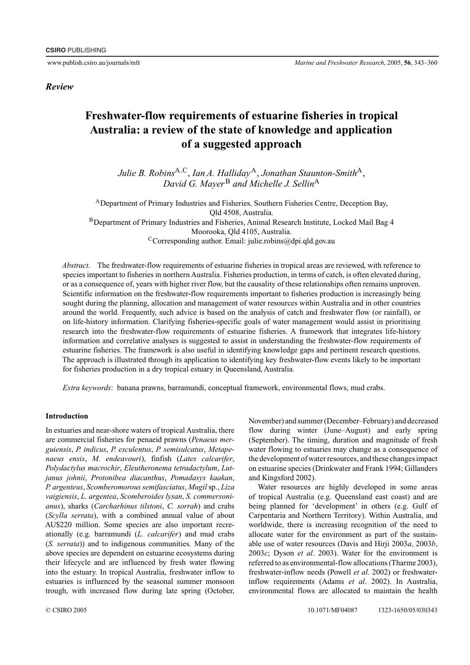*Review*

# **Freshwater-flow requirements of estuarine fisheries in tropical Australia: a review of the state of knowledge and application of a suggested approach**

*Julie B. Robins*<sup>A,C</sup>, *Ian A. Halliday*<sup>A</sup>, *Jonathan Staunton-Smith*<sup>A</sup>, *David G. Mayer*<sup>B</sup> and Michelle J. Sellin<sup>A</sup>

ADepartment of Primary Industries and Fisheries, Southern Fisheries Centre, Deception Bay, Qld 4508, Australia. BDepartment of Primary Industries and Fisheries, Animal Research Institute, Locked Mail Bag 4 Moorooka, Qld 4105, Australia. CCorresponding author. Email: julie.robins@dpi.qld.gov.au

*Abstract.* The freshwater-flow requirements of estuarine fisheries in tropical areas are reviewed, with reference to species important to fisheries in northern Australia. Fisheries production, in terms of catch, is often elevated during, or as a consequence of, years with higher river flow, but the causality of these relationships often remains unproven. Scientific information on the freshwater-flow requirements important to fisheries production is increasingly being sought during the planning, allocation and management of water resources within Australia and in other countries around the world. Frequently, such advice is based on the analysis of catch and freshwater flow (or rainfall), or on life-history information. Clarifying fisheries-specific goals of water management would assist in prioritising research into the freshwater-flow requirements of estuarine fisheries. A framework that integrates life-history information and correlative analyses is suggested to assist in understanding the freshwater-flow requirements of estuarine fisheries. The framework is also useful in identifying knowledge gaps and pertinent research questions. The approach is illustrated through its application to identifying key freshwater-flow events likely to be important for fisheries production in a dry tropical estuary in Queensland, Australia.

*Extra keywords*: banana prawns, barramundi, conceptual framework, environmental flows, mud crabs.

# **Introduction**

In estuaries and near-shore waters of tropical Australia, there are commercial fisheries for penaeid prawns (*Penaeus merguiensis*, *P. indicus*, *P. esculentus*, *P. semisulcatus*, *Metapenaeus ensis*, *M. endeavouri*), finfish (*Lates calcarifer*, *Polydactylus macrochir*, *Eleutheronema tetradactylum*, *Lutjanus johnii*, *Protonibea diacanthus*, *Pomadasys kaakan*, *P. argenteus*, *Scomberomorous semifasciatus*, *Mugil*sp., *Liza vaigiensis*, *L. argentea*, *Scomberoides lysan*, *S. commersonianus*), sharks (*Carcharhinus tilstoni*, *C. sorrah*) and crabs (*Scylla serrata*), with a combined annual value of about AU\$220 million. Some species are also important recreationally (e.g. barramundi (*L. calcarifer*) and mud crabs (*S. serrata*)) and to indigenous communities. Many of the above species are dependent on estuarine ecosystems during their lifecycle and are influenced by fresh water flowing into the estuary. In tropical Australia, freshwater inflow to estuaries is influenced by the seasonal summer monsoon trough, with increased flow during late spring (October,

November) and summer (December–February) and decreased flow during winter (June–August) and early spring (September). The timing, duration and magnitude of fresh water flowing to estuaries may change as a consequence of the development of water resources, and these changes impact on estuarine species (Drinkwater and Frank 1994; Gillanders and Kingsford 2002).

Water resources are highly developed in some areas of tropical Australia (e.g. Queensland east coast) and are being planned for 'development' in others (e.g. Gulf of Carpentaria and Northern Territory). Within Australia, and worldwide, there is increasing recognition of the need to allocate water for the environment as part of the sustainable use of water resources (Davis and Hirji 2003*a*, 2003*b*, 2003*c*; Dyson *et al*. 2003). Water for the environment is referred to as environmental-flow allocations (Tharme 2003), freshwater-inflow needs (Powell *et al*. 2002) or freshwaterinflow requirements (Adams *et al*. 2002). In Australia, environmental flows are allocated to maintain the health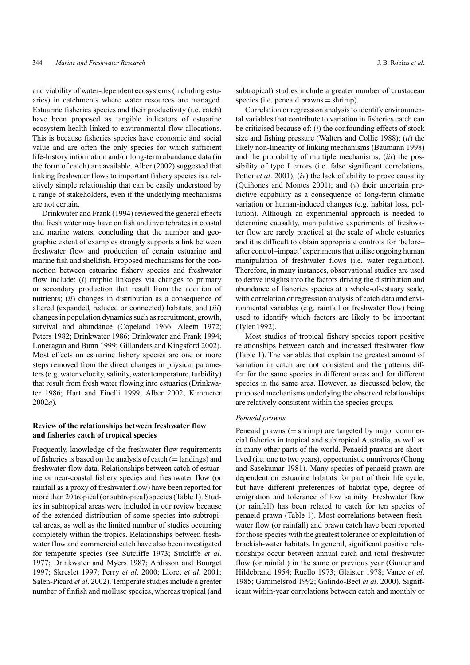and viability of water-dependent ecosystems (including estuaries) in catchments where water resources are managed. Estuarine fisheries species and their productivity (i.e. catch) have been proposed as tangible indicators of estuarine ecosystem health linked to environmental-flow allocations. This is because fisheries species have economic and social value and are often the only species for which sufficient life-history information and/or long-term abundance data (in the form of catch) are available. Alber (2002) suggested that linking freshwater flows to important fishery species is a relatively simple relationship that can be easily understood by a range of stakeholders, even if the underlying mechanisms are not certain.

Drinkwater and Frank (1994) reviewed the general effects that fresh water may have on fish and invertebrates in coastal and marine waters, concluding that the number and geographic extent of examples strongly supports a link between freshwater flow and production of certain estuarine and marine fish and shellfish. Proposed mechanisms for the connection between estuarine fishery species and freshwater flow include: (*i*) trophic linkages via changes to primary or secondary production that result from the addition of nutrients; (*ii*) changes in distribution as a consequence of altered (expanded, reduced or connected) habitats; and (*iii*) changes in population dynamics such as recruitment, growth, survival and abundance (Copeland 1966; Aleem 1972; Peters 1982; Drinkwater 1986; Drinkwater and Frank 1994; Loneragan and Bunn 1999; Gillanders and Kingsford 2002). Most effects on estuarine fishery species are one or more steps removed from the direct changes in physical parameters (e.g. water velocity, salinity, water temperature, turbidity) that result from fresh water flowing into estuaries (Drinkwater 1986; Hart and Finelli 1999; Alber 2002; Kimmerer 2002*a*).

# **Review of the relationships between freshwater flow and fisheries catch of tropical species**

Frequently, knowledge of the freshwater-flow requirements of fisheries is based on the analysis of catch  $(=\rho)$  and freshwater-flow data. Relationships between catch of estuarine or near-coastal fishery species and freshwater flow (or rainfall as a proxy of freshwater flow) have been reported for more than 20 tropical (or subtropical) species (Table 1). Studies in subtropical areas were included in our review because of the extended distribution of some species into subtropical areas, as well as the limited number of studies occurring completely within the tropics. Relationships between freshwater flow and commercial catch have also been investigated for temperate species (see Sutcliffe 1973; Sutcliffe *et al*. 1977; Drinkwater and Myers 1987; Ardisson and Bourget 1997; Skreslet 1997; Perry *et al*. 2000; Lloret *et al*. 2001; Salen-Picard *et al*. 2002). Temperate studies include a greater number of finfish and mollusc species, whereas tropical (and subtropical) studies include a greater number of crustacean species (i.e. peneaid prawns  $=$  shrimp).

Correlation or regression analysis to identify environmental variables that contribute to variation in fisheries catch can be criticised because of: (*i*) the confounding effects of stock size and fishing pressure (Walters and Collie 1988); (*ii*) the likely non-linearity of linking mechanisms (Baumann 1998) and the probability of multiple mechanisms; (*iii*) the possibility of type I errors (i.e. false significant correlations, Potter *et al*. 2001); (*iv*) the lack of ability to prove causality (Quiñones and Montes 2001); and (*v*) their uncertain predictive capability as a consequence of long-term climatic variation or human-induced changes (e.g. habitat loss, pollution). Although an experimental approach is needed to determine causality, manipulative experiments of freshwater flow are rarely practical at the scale of whole estuaries and it is difficult to obtain appropriate controls for 'before– after control–impact'experiments that utilise ongoing human manipulation of freshwater flows (i.e. water regulation). Therefore, in many instances, observational studies are used to derive insights into the factors driving the distribution and abundance of fisheries species at a whole-of-estuary scale, with correlation or regression analysis of catch data and environmental variables (e.g. rainfall or freshwater flow) being used to identify which factors are likely to be important (Tyler 1992).

Most studies of tropical fishery species report positive relationships between catch and increased freshwater flow (Table 1). The variables that explain the greatest amount of variation in catch are not consistent and the patterns differ for the same species in different areas and for different species in the same area. However, as discussed below, the proposed mechanisms underlying the observed relationships are relatively consistent within the species groups.

#### *Penaeid prawns*

Peneaid prawns  $(=\text{shrimp})$  are targeted by major commercial fisheries in tropical and subtropical Australia, as well as in many other parts of the world. Penaeid prawns are shortlived (i.e. one to two years), opportunistic omnivores (Chong and Sasekumar 1981). Many species of penaeid prawn are dependent on estuarine habitats for part of their life cycle, but have different preferences of habitat type, degree of emigration and tolerance of low salinity. Freshwater flow (or rainfall) has been related to catch for ten species of penaeid prawn (Table 1). Most correlations between freshwater flow (or rainfall) and prawn catch have been reported for those species with the greatest tolerance or exploitation of brackish-water habitats. In general, significant positive relationships occur between annual catch and total freshwater flow (or rainfall) in the same or previous year (Gunter and Hildebrand 1954; Ruello 1973; Glaister 1978; Vance *et al*. 1985; Gammelsrod 1992; Galindo-Bect *et al*. 2000). Significant within-year correlations between catch and monthly or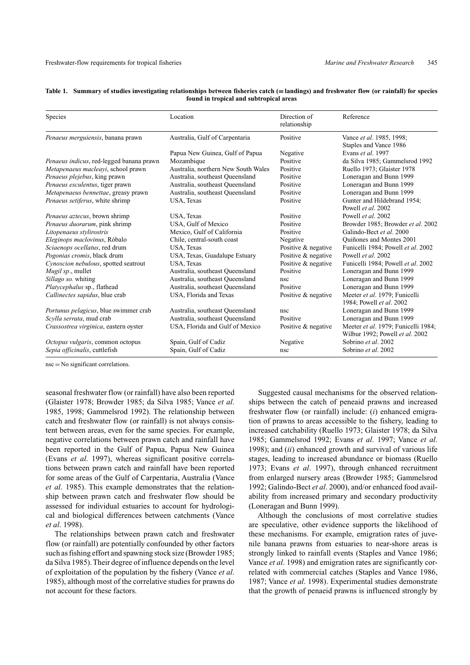| Species                                  | Location                            | Direction of<br>relationship | Reference                                                              |
|------------------------------------------|-------------------------------------|------------------------------|------------------------------------------------------------------------|
| Penaeus merguiensis, banana prawn        | Australia, Gulf of Carpentaria      | Positive                     | Vance et al. 1985, 1998;                                               |
|                                          |                                     |                              | Staples and Vance 1986                                                 |
|                                          | Papua New Guinea, Gulf of Papua     | Negative                     | Evans et al. 1997                                                      |
| Penaeus indicus, red-legged banana prawn | Mozambique                          | Positive                     | da Silva 1985; Gammelsrod 1992                                         |
| Metapenaeus macleayi, school prawn       | Australia, northern New South Wales | Positive                     | Ruello 1973; Glaister 1978                                             |
| Penaeus plejebus, king prawn             | Australia, southeast Queensland     | Positive                     | Loneragan and Bunn 1999                                                |
| Penaeus esculentus, tiger prawn          | Australia, southeast Queensland     | Positive                     | Loneragan and Bunn 1999                                                |
| Metapenaeus bennettae, greasy prawn      | Australia, southeast Queensland     | Positive                     | Loneragan and Bunn 1999                                                |
| Penaeus setiferus, white shrimp          | USA, Texas                          | Positive                     | Gunter and Hildebrand 1954;                                            |
|                                          |                                     |                              | Powell et al. 2002                                                     |
| Penaeus aztecus, brown shrimp            | USA, Texas                          | Positive                     | Powell et al. 2002                                                     |
| Penaeus duorarum, pink shrimp            | USA, Gulf of Mexico                 | Positive                     | Browder 1985; Browder et al. 2002                                      |
| Litopenaeus stylirostris                 | Mexico, Gulf of California          | Positive                     | Galindo-Bect et al. 2000                                               |
| Eleginops maclovinus, Róbalo             | Chile, central-south coast          | Negative                     | Ouiñones and Montes 2001                                               |
| Sciaenops ocellatus, red drum            | USA, Texas                          | Positive & negative          | Funicelli 1984; Powell et al. 2002                                     |
| Pogonias cromis, black drum              | USA, Texas, Guadalupe Estuary       | Positive & negative          | Powell et al. 2002                                                     |
| Cynoscion nebulous, spotted seatrout     | USA, Texas                          | Positive & negative          | Funicelli 1984; Powell et al. 2002                                     |
| Mugil sp., mullet                        | Australia, southeast Oueensland     | Positive                     | Loneragan and Bunn 1999                                                |
| Sillago so. whiting                      | Australia, southeast Queensland     | nsc                          | Loneragan and Bunn 1999                                                |
| Platycephalus sp., flathead              | Australia, southeast Queensland     | Positive                     | Loneragan and Bunn 1999                                                |
| Callinectes sapidus, blue crab           | USA, Florida and Texas              | Positive & negative          | Meeter et al. 1979; Funicelli<br>1984; Powell et al. 2002              |
| Portunus pelagicus, blue swimmer crab    | Australia, southeast Queensland     | nsc                          | Loneragan and Bunn 1999                                                |
| Scylla serrata, mud crab                 | Australia, southeast Queensland     | Positive                     | Loneragan and Bunn 1999                                                |
| Crassostrea virginica, eastern oyster    | USA, Florida and Gulf of Mexico     | Positive & negative          | Meeter et al. 1979; Funicelli 1984;<br>Wilbur 1992; Powell et al. 2002 |
| Octopus vulgaris, common octopus         | Spain, Gulf of Cadiz                | Negative                     | Sobrino et al. 2002                                                    |
| Sepia officinalis, cuttlefish            | Spain, Gulf of Cadiz                | nsc                          | Sobrino et al. 2002                                                    |

| Table 1. Summary of studies investigating relationships between fisheries catch (= landings) and freshwater flow (or rainfall) for species |
|--------------------------------------------------------------------------------------------------------------------------------------------|
| found in tropical and subtropical areas                                                                                                    |

 $nsc = No$  significant correlations.

seasonal freshwater flow (or rainfall) have also been reported (Glaister 1978; Browder 1985; da Silva 1985; Vance *et al*. 1985, 1998; Gammelsrod 1992). The relationship between catch and freshwater flow (or rainfall) is not always consistent between areas, even for the same species. For example, negative correlations between prawn catch and rainfall have been reported in the Gulf of Papua, Papua New Guinea (Evans *et al*. 1997), whereas significant positive correlations between prawn catch and rainfall have been reported for some areas of the Gulf of Carpentaria, Australia (Vance *et al*. 1985). This example demonstrates that the relationship between prawn catch and freshwater flow should be assessed for individual estuaries to account for hydrological and biological differences between catchments (Vance *et al*. 1998).

The relationships between prawn catch and freshwater flow (or rainfall) are potentially confounded by other factors such as fishing effort and spawning stock size (Browder 1985; da Silva 1985).Their degree of influence depends on the level of exploitation of the population by the fishery (Vance *et al*. 1985), although most of the correlative studies for prawns do not account for these factors.

Suggested causal mechanisms for the observed relationships between the catch of peneaid prawns and increased freshwater flow (or rainfall) include: (*i*) enhanced emigration of prawns to areas accessible to the fishery, leading to increased catchability (Ruello 1973; Glaister 1978; da Silva 1985; Gammelsrod 1992; Evans *et al*. 1997; Vance *et al*. 1998); and (*ii*) enhanced growth and survival of various life stages, leading to increased abundance or biomass (Ruello 1973; Evans *et al*. 1997), through enhanced recruitment from enlarged nursery areas (Browder 1985; Gammelsrod 1992; Galindo-Bect *et al*. 2000), and/or enhanced food availability from increased primary and secondary productivity (Loneragan and Bunn 1999).

Although the conclusions of most correlative studies are speculative, other evidence supports the likelihood of these mechanisms. For example, emigration rates of juvenile banana prawns from estuaries to near-shore areas is strongly linked to rainfall events (Staples and Vance 1986; Vance *et al*. 1998) and emigration rates are significantly correlated with commercial catches (Staples and Vance 1986, 1987; Vance *et al*. 1998). Experimental studies demonstrate that the growth of penaeid prawns is influenced strongly by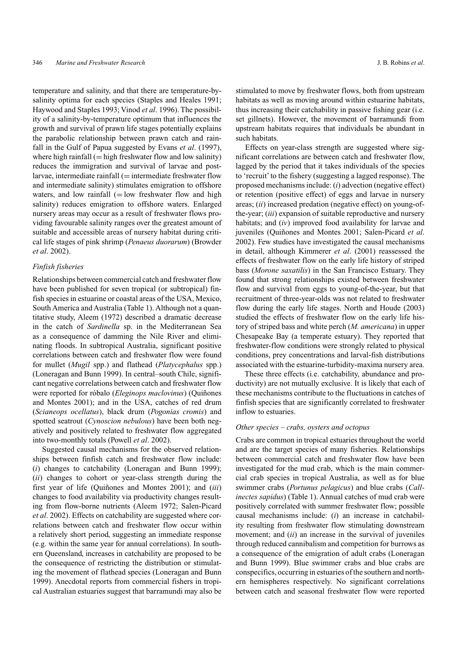temperature and salinity, and that there are temperature-bysalinity optima for each species (Staples and Heales 1991; Haywood and Staples 1993; Vinod *et al*. 1996). The possibility of a salinity-by-temperature optimum that influences the growth and survival of prawn life stages potentially explains the parabolic relationship between prawn catch and rainfall in the Gulf of Papua suggested by Evans *et al*. (1997), where high rainfall  $(=\text{high freshwater flow and low salinity})$ reduces the immigration and survival of larvae and postlarvae, intermediate rainfall  $(=$  intermediate freshwater flow and intermediate salinity) stimulates emigration to offshore waters, and low rainfall  $(=\text{low}$  freshwater flow and high salinity) reduces emigration to offshore waters. Enlarged nursery areas may occur as a result of freshwater flows providing favourable salinity ranges over the greatest amount of suitable and accessible areas of nursery habitat during critical life stages of pink shrimp (*Penaeus duorarum*) (Browder *et al*. 2002).

#### *Finfish fisheries*

Relationships between commercial catch and freshwater flow have been published for seven tropical (or subtropical) finfish species in estuarine or coastal areas of the USA, Mexico, South America and Australia (Table 1). Although not a quantitative study, Aleem (1972) described a dramatic decrease in the catch of *Sardinella* sp. in the Mediterranean Sea as a consequence of damming the Nile River and eliminating floods. In subtropical Australia, significant positive correlations between catch and freshwater flow were found for mullet (*Mugil* spp.) and flathead (*Platycephalus* spp.) (Loneragan and Bunn 1999). In central–south Chile, significant negative correlations between catch and freshwater flow were reported for róbalo (*Eleginops maclovinus*) (Quiñones and Montes 2001); and in the USA, catches of red drum (*Scianeops ocellatus*), black drum (*Pogonias cromis*) and spotted seatrout (*Cynoscion nebulous*) have been both negatively and positively related to freshwater flow aggregated into two-monthly totals (Powell *et al*. 2002).

Suggested causal mechanisms for the observed relationships between finfish catch and freshwater flow include: (*i*) changes to catchability (Loneragan and Bunn 1999); (*ii*) changes to cohort or year-class strength during the first year of life (Quiñones and Montes 2001); and (*iii*) changes to food availability via productivity changes resulting from flow-borne nutrients (Aleem 1972; Salen-Picard *et al*. 2002). Effects on catchability are suggested where correlations between catch and freshwater flow occur within a relatively short period, suggesting an immediate response (e.g. within the same year for annual correlations). In southern Queensland, increases in catchability are proposed to be the consequence of restricting the distribution or stimulating the movement of flathead species (Loneragan and Bunn 1999). Anecdotal reports from commercial fishers in tropical Australian estuaries suggest that barramundi may also be stimulated to move by freshwater flows, both from upstream habitats as well as moving around within estuarine habitats, thus increasing their catchability in passive fishing gear (i.e. set gillnets). However, the movement of barramundi from upstream habitats requires that individuals be abundant in such habitats.

Effects on year-class strength are suggested where significant correlations are between catch and freshwater flow, lagged by the period that it takes individuals of the species to 'recruit' to the fishery (suggesting a lagged response). The proposed mechanisms include: (*i*) advection (negative effect) or retention (positive effect) of eggs and larvae in nursery areas; (*ii*) increased predation (negative effect) on young-ofthe-year; (*iii*) expansion of suitable reproductive and nursery habitats; and (*iv*) improved food availability for larvae and juveniles (Quiñones and Montes 2001; Salen-Picard *et al*. 2002). Few studies have investigated the causal mechanisms in detail, although Kimmerer *et al*. (2001) reassessed the effects of freshwater flow on the early life history of striped bass (*Morone saxatilis*) in the San Francisco Estuary. They found that strong relationships existed between freshwater flow and survival from eggs to young-of-the-year, but that recruitment of three-year-olds was not related to freshwater flow during the early life stages. North and Houde (2003) studied the effects of freshwater flow on the early life history of striped bass and white perch (*M. americana*) in upper Chesapeake Bay (a temperate estuary). They reported that freshwater-flow conditions were strongly related to physical conditions, prey concentrations and larval-fish distributions associated with the estuarine-turbidity-maxima nursery area.

These three effects (i.e. catchability, abundance and productivity) are not mutually exclusive. It is likely that each of these mechanisms contribute to the fluctuations in catches of finfish species that are significantly correlated to freshwater inflow to estuaries.

#### *Other species – crabs, oysters and octopus*

Crabs are common in tropical estuaries throughout the world and are the target species of many fisheries. Relationships between commercial catch and freshwater flow have been investigated for the mud crab, which is the main commercial crab species in tropical Australia, as well as for blue swimmer crabs (*Portunus pelagicus*) and blue crabs (*Callinectes sapidus*) (Table 1). Annual catches of mud crab were positively correlated with summer freshwater flow; possible causal mechanisms include: (*i*) an increase in catchability resulting from freshwater flow stimulating downstream movement; and *(ii)* an increase in the survival of juveniles through reduced cannibalism and competition for burrows as a consequence of the emigration of adult crabs (Loneragan and Bunn 1999). Blue swimmer crabs and blue crabs are conspecifics, occurring in estuaries of the southern and northern hemispheres respectively. No significant correlations between catch and seasonal freshwater flow were reported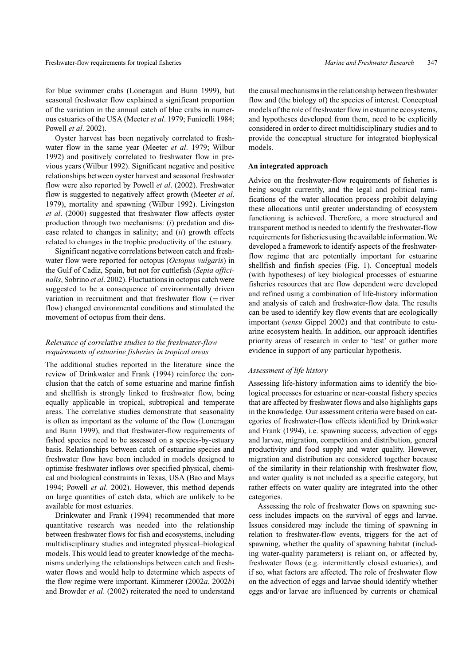for blue swimmer crabs (Loneragan and Bunn 1999), but seasonal freshwater flow explained a significant proportion of the variation in the annual catch of blue crabs in numerous estuaries of the USA (Meeter *et al*. 1979; Funicelli 1984; Powell *et al*. 2002).

Oyster harvest has been negatively correlated to freshwater flow in the same year (Meeter *et al*. 1979; Wilbur 1992) and positively correlated to freshwater flow in previous years (Wilbur 1992). Significant negative and positive relationships between oyster harvest and seasonal freshwater flow were also reported by Powell *et al*. (2002). Freshwater flow is suggested to negatively affect growth (Meeter *et al*. 1979), mortality and spawning (Wilbur 1992). Livingston *et al*. (2000) suggested that freshwater flow affects oyster production through two mechanisms: (*i*) predation and disease related to changes in salinity; and (*ii*) growth effects related to changes in the trophic productivity of the estuary.

Significant negative correlations between catch and freshwater flow were reported for octopus (*Octopus vulgaris*) in the Gulf of Cadiz, Spain, but not for cuttlefish (*Sepia officinalis*, Sobrino *et al*. 2002). Fluctuations in octopus catch were suggested to be a consequence of environmentally driven variation in recruitment and that freshwater flow  $($ = river flow) changed environmental conditions and stimulated the movement of octopus from their dens.

# *Relevance of correlative studies to the freshwater-flow requirements of estuarine fisheries in tropical areas*

The additional studies reported in the literature since the review of Drinkwater and Frank (1994) reinforce the conclusion that the catch of some estuarine and marine finfish and shellfish is strongly linked to freshwater flow, being equally applicable in tropical, subtropical and temperate areas. The correlative studies demonstrate that seasonality is often as important as the volume of the flow (Loneragan and Bunn 1999), and that freshwater-flow requirements of fished species need to be assessed on a species-by-estuary basis. Relationships between catch of estuarine species and freshwater flow have been included in models designed to optimise freshwater inflows over specified physical, chemical and biological constraints in Texas, USA (Bao and Mays 1994; Powell *et al*. 2002). However, this method depends on large quantities of catch data, which are unlikely to be available for most estuaries.

Drinkwater and Frank (1994) recommended that more quantitative research was needed into the relationship between freshwater flows for fish and ecosystems, including multidisciplinary studies and integrated physical–biological models. This would lead to greater knowledge of the mechanisms underlying the relationships between catch and freshwater flows and would help to determine which aspects of the flow regime were important. Kimmerer (2002*a*, 2002*b*) and Browder *et al*. (2002) reiterated the need to understand

the causal mechanisms in the relationship between freshwater flow and (the biology of) the species of interest. Conceptual models of the role of freshwater flow in estuarine ecosystems, and hypotheses developed from them, need to be explicitly considered in order to direct multidisciplinary studies and to provide the conceptual structure for integrated biophysical models.

# **An integrated approach**

Advice on the freshwater-flow requirements of fisheries is being sought currently, and the legal and political ramifications of the water allocation process prohibit delaying these allocations until greater understanding of ecosystem functioning is achieved. Therefore, a more structured and transparent method is needed to identify the freshwater-flow requirements for fisheries using the available information.We developed a framework to identify aspects of the freshwaterflow regime that are potentially important for estuarine shellfish and finfish species (Fig. 1). Conceptual models (with hypotheses) of key biological processes of estuarine fisheries resources that are flow dependent were developed and refined using a combination of life-history information and analysis of catch and freshwater-flow data. The results can be used to identify key flow events that are ecologically important (*sensu* Gippel 2002) and that contribute to estuarine ecosystem health. In addition, our approach identifies priority areas of research in order to 'test' or gather more evidence in support of any particular hypothesis.

# *Assessment of life history*

Assessing life-history information aims to identify the biological processes for estuarine or near-coastal fishery species that are affected by freshwater flows and also highlights gaps in the knowledge. Our assessment criteria were based on categories of freshwater-flow effects identified by Drinkwater and Frank (1994), i.e. spawning success, advection of eggs and larvae, migration, competition and distribution, general productivity and food supply and water quality. However, migration and distribution are considered together because of the similarity in their relationship with freshwater flow, and water quality is not included as a specific category, but rather effects on water quality are integrated into the other categories.

Assessing the role of freshwater flows on spawning success includes impacts on the survival of eggs and larvae. Issues considered may include the timing of spawning in relation to freshwater-flow events, triggers for the act of spawning, whether the quality of spawning habitat (including water-quality parameters) is reliant on, or affected by, freshwater flows (e.g. intermittently closed estuaries), and if so, what factors are affected. The role of freshwater flow on the advection of eggs and larvae should identify whether eggs and/or larvae are influenced by currents or chemical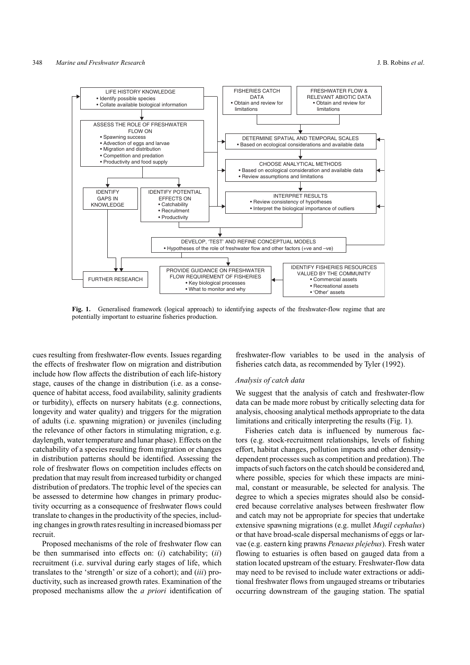

**Fig. 1.** Generalised framework (logical approach) to identifying aspects of the freshwater-flow regime that are potentially important to estuarine fisheries production.

cues resulting from freshwater-flow events. Issues regarding the effects of freshwater flow on migration and distribution include how flow affects the distribution of each life-history stage, causes of the change in distribution (i.e. as a consequence of habitat access, food availability, salinity gradients or turbidity), effects on nursery habitats (e.g. connections, longevity and water quality) and triggers for the migration of adults (i.e. spawning migration) or juveniles (including the relevance of other factors in stimulating migration, e.g. daylength, water temperature and lunar phase). Effects on the catchability of a species resulting from migration or changes in distribution patterns should be identified. Assessing the role of freshwater flows on competition includes effects on predation that may result from increased turbidity or changed distribution of predators. The trophic level of the species can be assessed to determine how changes in primary productivity occurring as a consequence of freshwater flows could translate to changes in the productivity of the species, including changes in growth rates resulting in increased biomass per recruit.

Proposed mechanisms of the role of freshwater flow can be then summarised into effects on: (*i*) catchability; (*ii*) recruitment (i.e. survival during early stages of life, which translates to the 'strength' or size of a cohort); and (*iii*) productivity, such as increased growth rates. Examination of the proposed mechanisms allow the *a priori* identification of freshwater-flow variables to be used in the analysis of fisheries catch data, as recommended by Tyler (1992).

# *Analysis of catch data*

We suggest that the analysis of catch and freshwater-flow data can be made more robust by critically selecting data for analysis, choosing analytical methods appropriate to the data limitations and critically interpreting the results (Fig. 1).

Fisheries catch data is influenced by numerous factors (e.g. stock-recruitment relationships, levels of fishing effort, habitat changes, pollution impacts and other densitydependent processes such as competition and predation). The impacts of such factors on the catch should be considered and, where possible, species for which these impacts are minimal, constant or measurable, be selected for analysis. The degree to which a species migrates should also be considered because correlative analyses between freshwater flow and catch may not be appropriate for species that undertake extensive spawning migrations (e.g. mullet *Mugil cephalus*) or that have broad-scale dispersal mechanisms of eggs or larvae (e.g. eastern king prawns *Penaeus plejebus*). Fresh water flowing to estuaries is often based on gauged data from a station located upstream of the estuary. Freshwater-flow data may need to be revised to include water extractions or additional freshwater flows from ungauged streams or tributaries occurring downstream of the gauging station. The spatial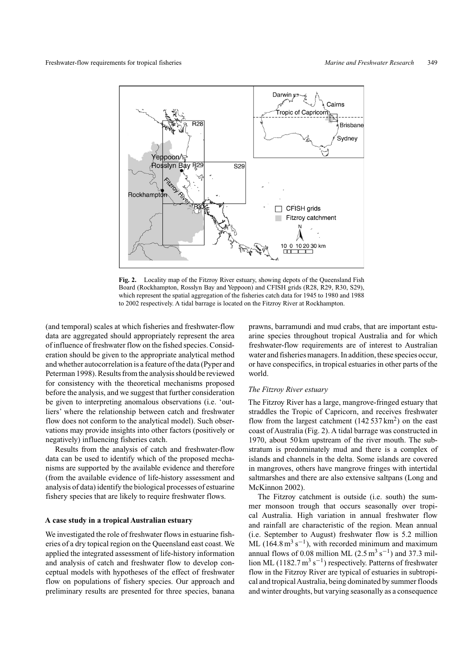

**Fig. 2.** Locality map of the Fitzroy River estuary, showing depots of the Queensland Fish Board (Rockhampton, Rosslyn Bay and Yeppoon) and CFISH grids (R28, R29, R30, S29), which represent the spatial aggregation of the fisheries catch data for 1945 to 1980 and 1988 to 2002 respectively. A tidal barrage is located on the Fitzroy River at Rockhampton.

(and temporal) scales at which fisheries and freshwater-flow data are aggregated should appropriately represent the area of influence of freshwater flow on the fished species. Consideration should be given to the appropriate analytical method and whether autocorrelation is a feature of the data (Pyper and Peterman 1998). Results from the analysis should be reviewed for consistency with the theoretical mechanisms proposed before the analysis, and we suggest that further consideration be given to interpreting anomalous observations (i.e. 'outliers' where the relationship between catch and freshwater flow does not conform to the analytical model). Such observations may provide insights into other factors (positively or negatively) influencing fisheries catch.

Results from the analysis of catch and freshwater-flow data can be used to identify which of the proposed mechanisms are supported by the available evidence and therefore (from the available evidence of life-history assessment and analysis of data) identify the biological processes of estuarine fishery species that are likely to require freshwater flows.

## **A case study in a tropical Australian estuary**

We investigated the role of freshwater flows in estuarine fisheries of a dry topical region on the Queensland east coast. We applied the integrated assessment of life-history information and analysis of catch and freshwater flow to develop conceptual models with hypotheses of the effect of freshwater flow on populations of fishery species. Our approach and preliminary results are presented for three species, banana

prawns, barramundi and mud crabs, that are important estuarine species throughout tropical Australia and for which freshwater-flow requirements are of interest to Australian water and fisheries managers. In addition, these species occur, or have conspecifics, in tropical estuaries in other parts of the world.

#### *The Fitzroy River estuary*

The Fitzroy River has a large, mangrove-fringed estuary that straddles the Tropic of Capricorn, and receives freshwater flow from the largest catchment  $(142537 \text{ km}^2)$  on the east coast of Australia (Fig. 2). A tidal barrage was constructed in 1970, about 50 km upstream of the river mouth. The substratum is predominately mud and there is a complex of islands and channels in the delta. Some islands are covered in mangroves, others have mangrove fringes with intertidal saltmarshes and there are also extensive saltpans (Long and McKinnon 2002).

The Fitzroy catchment is outside (i.e. south) the summer monsoon trough that occurs seasonally over tropical Australia. High variation in annual freshwater flow and rainfall are characteristic of the region. Mean annual (i.e. September to August) freshwater flow is 5.2 million ML (164.8 m<sup>3</sup> s<sup>-1</sup>), with recorded minimum and maximum annual flows of 0.08 million ML (2.5 m<sup>3</sup> s<sup>-1</sup>) and 37.3 million ML (1182.7 m<sup>3</sup> s<sup>-1</sup>) respectively. Patterns of freshwater flow in the Fitzroy River are typical of estuaries in subtropical and tropicalAustralia, being dominated by summer floods and winter droughts, but varying seasonally as a consequence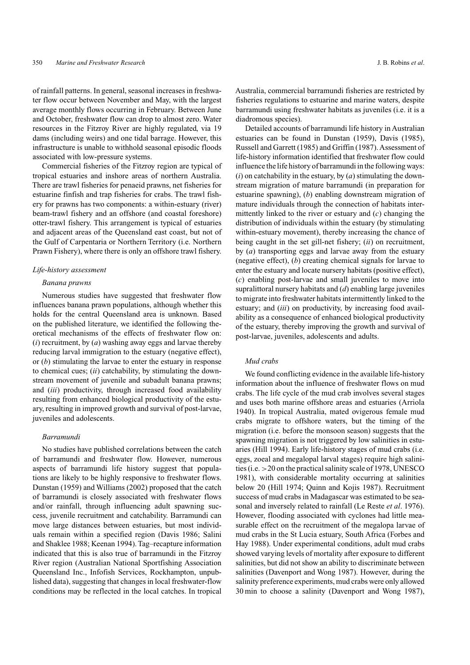of rainfall patterns. In general, seasonal increases in freshwater flow occur between November and May, with the largest average monthly flows occurring in February. Between June and October, freshwater flow can drop to almost zero. Water resources in the Fitzroy River are highly regulated, via 19 dams (including weirs) and one tidal barrage. However, this infrastructure is unable to withhold seasonal episodic floods associated with low-pressure systems.

Commercial fisheries of the Fitzroy region are typical of tropical estuaries and inshore areas of northern Australia. There are trawl fisheries for penaeid prawns, net fisheries for estuarine finfish and trap fisheries for crabs. The trawl fishery for prawns has two components: a within-estuary (river) beam-trawl fishery and an offshore (and coastal foreshore) otter-trawl fishery. This arrangement is typical of estuaries and adjacent areas of the Queensland east coast, but not of the Gulf of Carpentaria or Northern Territory (i.e. Northern Prawn Fishery), where there is only an offshore trawl fishery.

#### *Life-history assessment*

## *Banana prawns*

Numerous studies have suggested that freshwater flow influences banana prawn populations, although whether this holds for the central Queensland area is unknown. Based on the published literature, we identified the following theoretical mechanisms of the effects of freshwater flow on: (*i*) recruitment, by (*a*) washing away eggs and larvae thereby reducing larval immigration to the estuary (negative effect), or (*b*) stimulating the larvae to enter the estuary in response to chemical cues; (*ii*) catchability, by stimulating the downstream movement of juvenile and subadult banana prawns; and (*iii*) productivity, through increased food availability resulting from enhanced biological productivity of the estuary, resulting in improved growth and survival of post-larvae, juveniles and adolescents.

## *Barramundi*

No studies have published correlations between the catch of barramundi and freshwater flow. However, numerous aspects of barramundi life history suggest that populations are likely to be highly responsive to freshwater flows. Dunstan (1959) and Williams (2002) proposed that the catch of barramundi is closely associated with freshwater flows and/or rainfall, through influencing adult spawning success, juvenile recruitment and catchability. Barramundi can move large distances between estuaries, but most individuals remain within a specified region (Davis 1986; Salini and Shaklee 1988; Keenan 1994). Tag–recapture information indicated that this is also true of barramundi in the Fitzroy River region (Australian National Sportfishing Association Queensland Inc., Infofish Services, Rockhampton, unpublished data), suggesting that changes in local freshwater-flow conditions may be reflected in the local catches. In tropical

Australia, commercial barramundi fisheries are restricted by fisheries regulations to estuarine and marine waters, despite barramundi using freshwater habitats as juveniles (i.e. it is a diadromous species).

Detailed accounts of barramundi life history in Australian estuaries can be found in Dunstan (1959), Davis (1985), Russell and Garrett (1985) and Griffin (1987). Assessment of life-history information identified that freshwater flow could influence the life history of barramundi in the following ways: (*i*) on catchability in the estuary, by (*a*) stimulating the downstream migration of mature barramundi (in preparation for estuarine spawning), (*b*) enabling downstream migration of mature individuals through the connection of habitats intermittently linked to the river or estuary and (*c*) changing the distribution of individuals within the estuary (by stimulating within-estuary movement), thereby increasing the chance of being caught in the set gill-net fishery; (*ii*) on recruitment, by (*a*) transporting eggs and larvae away from the estuary (negative effect), (*b*) creating chemical signals for larvae to enter the estuary and locate nursery habitats (positive effect), (*c*) enabling post-larvae and small juveniles to move into supralittoral nursery habitats and (*d*) enabling large juveniles to migrate into freshwater habitats intermittently linked to the estuary; and (*iii*) on productivity, by increasing food availability as a consequence of enhanced biological productivity of the estuary, thereby improving the growth and survival of post-larvae, juveniles, adolescents and adults.

## *Mud crabs*

We found conflicting evidence in the available life-history information about the influence of freshwater flows on mud crabs. The life cycle of the mud crab involves several stages and uses both marine offshore areas and estuaries (Arriola 1940). In tropical Australia, mated ovigerous female mud crabs migrate to offshore waters, but the timing of the migration (i.e. before the monsoon season) suggests that the spawning migration is not triggered by low salinities in estuaries (Hill 1994). Early life-history stages of mud crabs (i.e. eggs, zoeal and megalopal larval stages) require high salinities (i.e. *>*20 on the practical salinity scale of 1978, UNESCO 1981), with considerable mortality occurring at salinities below 20 (Hill 1974; Quinn and Kojis 1987). Recruitment success of mud crabs in Madagascar was estimated to be seasonal and inversely related to rainfall (Le Reste *et al*. 1976). However, flooding associated with cyclones had little measurable effect on the recruitment of the megalopa larvae of mud crabs in the St Lucia estuary, South Africa (Forbes and Hay 1988). Under experimental conditions, adult mud crabs showed varying levels of mortality after exposure to different salinities, but did not show an ability to discriminate between salinities (Davenport and Wong 1987). However, during the salinity preference experiments, mud crabs were only allowed 30 min to choose a salinity (Davenport and Wong 1987),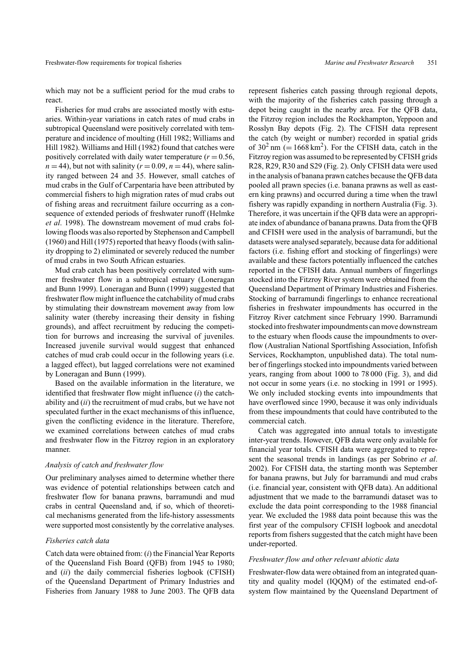which may not be a sufficient period for the mud crabs to react.

Fisheries for mud crabs are associated mostly with estuaries. Within-year variations in catch rates of mud crabs in subtropical Queensland were positively correlated with temperature and incidence of moulting (Hill 1982; Williams and Hill 1982). Williams and Hill (1982) found that catches were positively correlated with daily water temperature  $(r = 0.56,$  $n = 44$ ), but not with salinity ( $r = 0.09$ ,  $n = 44$ ), where salinity ranged between 24 and 35. However, small catches of mud crabs in the Gulf of Carpentaria have been attributed by commercial fishers to high migration rates of mud crabs out of fishing areas and recruitment failure occurring as a consequence of extended periods of freshwater runoff (Helmke *et al*. 1998). The downstream movement of mud crabs following floods was also reported by Stephenson and Campbell (1960) and Hill (1975) reported that heavy floods (with salinity dropping to 2) eliminated or severely reduced the number of mud crabs in two South African estuaries.

Mud crab catch has been positively correlated with summer freshwater flow in a subtropical estuary (Loneragan and Bunn 1999). Loneragan and Bunn (1999) suggested that freshwater flow might influence the catchability of mud crabs by stimulating their downstream movement away from low salinity water (thereby increasing their density in fishing grounds), and affect recruitment by reducing the competition for burrows and increasing the survival of juveniles. Increased juvenile survival would suggest that enhanced catches of mud crab could occur in the following years (i.e. a lagged effect), but lagged correlations were not examined by Loneragan and Bunn (1999).

Based on the available information in the literature, we identified that freshwater flow might influence (*i*) the catchability and (*ii*) the recruitment of mud crabs, but we have not speculated further in the exact mechanisms of this influence, given the conflicting evidence in the literature. Therefore, we examined correlations between catches of mud crabs and freshwater flow in the Fitzroy region in an exploratory manner.

## *Analysis of catch and freshwater flow*

Our preliminary analyses aimed to determine whether there was evidence of potential relationships between catch and freshwater flow for banana prawns, barramundi and mud crabs in central Queensland and, if so, which of theoretical mechanisms generated from the life-history assessments were supported most consistently by the correlative analyses.

# *Fisheries catch data*

Catch data were obtained from: (*i*) the Financial Year Reports of the Queensland Fish Board (QFB) from 1945 to 1980; and (*ii*) the daily commercial fisheries logbook (CFISH) of the Queensland Department of Primary Industries and Fisheries from January 1988 to June 2003. The QFB data represent fisheries catch passing through regional depots, with the majority of the fisheries catch passing through a depot being caught in the nearby area. For the QFB data, the Fitzroy region includes the Rockhampton, Yeppoon and Rosslyn Bay depots (Fig. 2). The CFISH data represent the catch (by weight or number) recorded in spatial grids of  $30<sup>2</sup>$  nm (= 1668 km<sup>2</sup>). For the CFISH data, catch in the Fitzroy region was assumed to be represented by CFISH grids R28, R29, R30 and S29 (Fig. 2). Only CFISH data were used in the analysis of banana prawn catches because the QFB data pooled all prawn species (i.e. banana prawns as well as eastern king prawns) and occurred during a time when the trawl fishery was rapidly expanding in northern Australia (Fig. 3). Therefore, it was uncertain if the QFB data were an appropriate index of abundance of banana prawns. Data from the QFB and CFISH were used in the analysis of barramundi, but the datasets were analysed separately, because data for additional factors (i.e. fishing effort and stocking of fingerlings) were available and these factors potentially influenced the catches reported in the CFISH data. Annual numbers of fingerlings stocked into the Fitzroy River system were obtained from the Queensland Department of Primary Industries and Fisheries. Stocking of barramundi fingerlings to enhance recreational fisheries in freshwater impoundments has occurred in the Fitzroy River catchment since February 1990. Barramundi stocked into freshwater impoundments can move downstream to the estuary when floods cause the impoundments to overflow (Australian National Sportfishing Association, Infofish Services, Rockhampton, unpublished data). The total number of fingerlings stocked into impoundments varied between years, ranging from about 1000 to 78 000 (Fig. 3), and did not occur in some years (i.e. no stocking in 1991 or 1995). We only included stocking events into impoundments that have overflowed since 1990, because it was only individuals from these impoundments that could have contributed to the commercial catch.

Catch was aggregated into annual totals to investigate inter-year trends. However, QFB data were only available for financial year totals. CFISH data were aggregated to represent the seasonal trends in landings (as per Sobrino *et al*. 2002). For CFISH data, the starting month was September for banana prawns, but July for barramundi and mud crabs (i.e. financial year, consistent with QFB data). An additional adjustment that we made to the barramundi dataset was to exclude the data point corresponding to the 1988 financial year. We excluded the 1988 data point because this was the first year of the compulsory CFISH logbook and anecdotal reports from fishers suggested that the catch might have been under-reported.

## *Freshwater flow and other relevant abiotic data*

Freshwater-flow data were obtained from an integrated quantity and quality model (IQQM) of the estimated end-ofsystem flow maintained by the Queensland Department of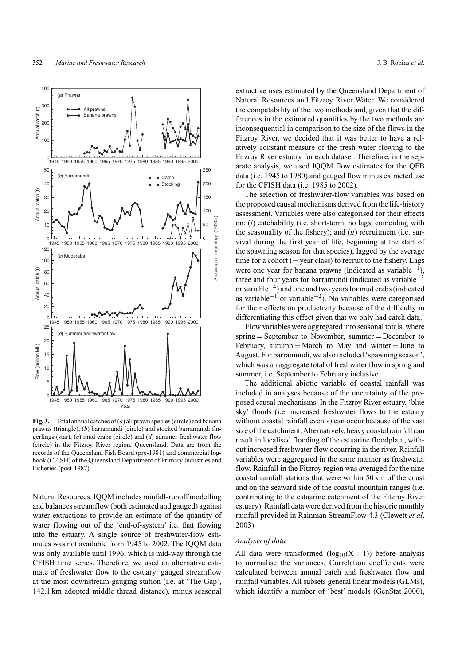**Fig. 3.** Total annual catches of (*a*) all prawn species (circle) and banana prawns (triangle), (*b*) barramundi (circle) and stocked barramundi fingerlings (star), (*c*) mud crabs (circle) and (*d*) summer freshwater flow (circle) in the Fitzroy River region, Queensland. Data are from the records of the Queensland Fish Board (pre-1981) and commercial logbook (CFISH) of the Queensland Department of Primary Industries and Fisheries (post-1987).

Natural Resources. IQQM includes rainfall-runoff modelling and balances streamflow (both estimated and gauged) against water extractions to provide an estimate of the quantity of water flowing out of the 'end-of-system' i.e. that flowing into the estuary. A single source of freshwater-flow estimates was not available from 1945 to 2002. The IQQM data was only available until 1996, which is mid-way through the CFISH time series. Therefore, we used an alternative estimate of freshwater flow to the estuary: gauged streamflow at the most downstream gauging station (i.e. at 'The Gap', 142.1 km adopted middle thread distance), minus seasonal extractive uses estimated by the Queensland Department of Natural Resources and Fitzroy River Water. We considered the compatability of the two methods and, given that the differences in the estimated quantities by the two methods are inconsequential in comparison to the size of the flows in the Fitzroy River, we decided that it was better to have a relatively constant measure of the fresh water flowing to the Fitzroy River estuary for each dataset. Therefore, in the separate analysis, we used IQQM flow estimates for the QFB data (i.e. 1945 to 1980) and gauged flow minus extracted use for the CFISH data (i.e. 1985 to 2002).

The selection of freshwater-flow variables was based on the proposed causal mechanisms derived from the life-history assessment. Variables were also categorised for their effects on: (*i*) catchability (i.e. short-term, no lags, coinciding with the seasonality of the fishery); and (*ii*) recruitment (i.e. survival during the first year of life, beginning at the start of the spawning season for that species), lagged by the average time for a cohort  $($  = year class) to recruit to the fishery. Lags were one year for banana prawns (indicated as variable−1), three and four years for barramundi (indicated as variable $^{-3}$ or variable−4) and one and two years for mud crabs (indicated as variable<sup> $-1$ </sup> or variable<sup> $-2$ </sup>). No variables were categorised for their effects on productivity because of the difficulty in differentiating this effect given that we only had catch data.

Flow variables were aggregated into seasonal totals, where spring = September to November, summer = December to February, autumn = March to May and winter = June to August. For barramundi, we also included 'spawning season', which was an aggregate total of freshwater flow in spring and summer, i.e. September to February inclusive.

The additional abiotic variable of coastal rainfall was included in analyses because of the uncertainty of the proposed causal mechanisms. In the Fitzroy River estuary, 'blue sky' floods (i.e. increased freshwater flows to the estuary without coastal rainfall events) can occur because of the vast size of the catchment.Alternatively, heavy coastal rainfall can result in localised flooding of the estuarine floodplain, without increased freshwater flow occurring in the river. Rainfall variables were aggregated in the same manner as freshwater flow. Rainfall in the Fitzroy region was averaged for the nine coastal rainfall stations that were within 50 km of the coast and on the seaward side of the coastal mountain ranges (i.e. contributing to the estuarine catchment of the Fitzroy River estuary). Rainfall data were derived from the historic monthly rainfall provided in Rainman StreamFlow 4.3 (Clewett *et al*. 2003).

# *Analysis of data*

All data were transformed  $(log_{10}(X + 1))$  before analysis to normalise the variances. Correlation coefficients were calculated between annual catch and freshwater flow and rainfall variables. All subsets general linear models (GLMs), which identify a number of 'best' models (GenStat 2000),

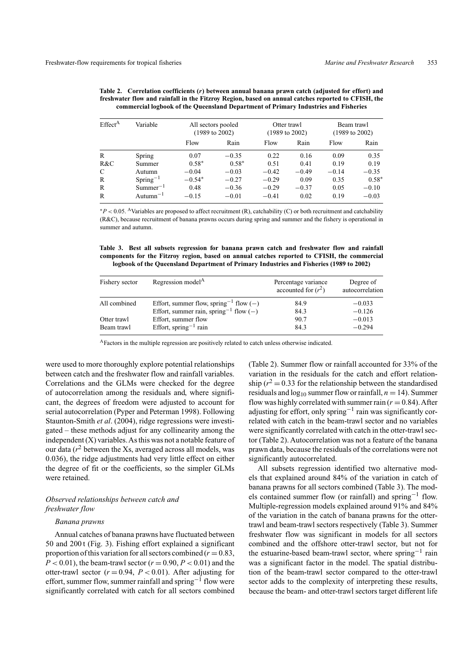| Effect <sup>A</sup> | Variable             | All sectors pooled<br>$(1989 \text{ to } 2002)$ |         | Otter trawl<br>$(1989 \text{ to } 2002)$ |         | Beam trawl<br>$(1989 \text{ to } 2002)$ |         |
|---------------------|----------------------|-------------------------------------------------|---------|------------------------------------------|---------|-----------------------------------------|---------|
|                     |                      | Flow                                            | Rain    | Flow                                     | Rain    | Flow                                    | Rain    |
| R                   | Spring               | 0.07                                            | $-0.35$ | 0.22                                     | 0.16    | 0.09                                    | 0.35    |
| R&C                 | Summer               | $0.58*$                                         | $0.58*$ | 0.51                                     | 0.41    | 0.19                                    | 0.19    |
| C                   | Autumn               | $-0.04$                                         | $-0.03$ | $-0.42$                                  | $-0.49$ | $-0.14$                                 | $-0.35$ |
| R                   | $Spring-1$           | $-0.54*$                                        | $-0.27$ | $-0.29$                                  | 0.09    | 0.35                                    | $0.58*$ |
| R                   | $Summer^{-1}$        | 0.48                                            | $-0.36$ | $-0.29$                                  | $-0.37$ | 0.05                                    | $-0.10$ |
| R                   | Autumn <sup>-1</sup> | $-0.15$                                         | $-0.01$ | $-0.41$                                  | 0.02    | 0.19                                    | $-0.03$ |

**Table 2. Correlation coefficients (***r***) between annual banana prawn catch (adjusted for effort) and freshwater flow and rainfall in the Fitzroy Region, based on annual catches reported to CFISH, the commercial logbook of the Queensland Department of Primary Industries and Fisheries**

<sup>∗</sup>*P <* 0.05. AVariables are proposed to affect recruitment (R), catchability (C) or both recruitment and catchability (R&C), because recruitment of banana prawns occurs during spring and summer and the fishery is operational in summer and autumn.

**Table 3. Best all subsets regression for banana prawn catch and freshwater flow and rainfall components for the Fitzroy region, based on annual catches reported to CFISH, the commercial logbook of the Queensland Department of Primary Industries and Fisheries (1989 to 2002)**

| Fishery sector | Regression model <sup>A</sup>                        | Percentage variance<br>accounted for $(r^2)$ | Degree of<br>autocorrelation |
|----------------|------------------------------------------------------|----------------------------------------------|------------------------------|
| All combined   | Effort, summer flow, spring <sup>-1</sup> flow $(-)$ | 84.9                                         | $-0.033$                     |
|                | Effort, summer rain, spring <sup>-1</sup> flow $(-)$ | 84.3                                         | $-0.126$                     |
| Otter trawl    | Effort, summer flow                                  | 90.7                                         | $-0.013$                     |
| Beam trawl     | Effort, spring <sup>-1</sup> rain                    | 84.3                                         | $-0.294$                     |

AFactors in the multiple regression are positively related to catch unless otherwise indicated.

were used to more thoroughly explore potential relationships between catch and the freshwater flow and rainfall variables. Correlations and the GLMs were checked for the degree of autocorrelation among the residuals and, where significant, the degrees of freedom were adjusted to account for serial autocorrelation (Pyper and Peterman 1998). Following Staunton-Smith *et al*. (2004), ridge regressions were investigated – these methods adjust for any collinearity among the independent  $(X)$  variables. As this was not a notable feature of our data  $(r^2)$  between the Xs, averaged across all models, was 0.036), the ridge adjustments had very little effect on either the degree of fit or the coefficients, so the simpler GLMs were retained.

# *Observed relationships between catch and freshwater flow*

# *Banana prawns*

Annual catches of banana prawns have fluctuated between 50 and 200 t (Fig. 3). Fishing effort explained a significant proportion of this variation for all sectors combined ( $r = 0.83$ ,  $P < 0.01$ , the beam-trawl sector ( $r = 0.90, P < 0.01$ ) and the otter-trawl sector  $(r = 0.94, P < 0.01)$ . After adjusting for effort, summer flow, summer rainfall and spring<sup>-1</sup> flow were significantly correlated with catch for all sectors combined

(Table 2). Summer flow or rainfall accounted for 33% of the variation in the residuals for the catch and effort relationship  $(r^2 = 0.33$  for the relationship between the standardised residuals and  $log_{10}$  summer flow or rainfall,  $n = 14$ ). Summer flow was highly correlated with summer rain  $(r = 0.84)$ . After adjusting for effort, only spring−<sup>1</sup> rain was significantly correlated with catch in the beam-trawl sector and no variables were significantly correlated with catch in the otter-trawl sector (Table 2). Autocorrelation was not a feature of the banana prawn data, because the residuals of the correlations were not significantly autocorrelated.

All subsets regression identified two alternative models that explained around 84% of the variation in catch of banana prawns for all sectors combined (Table 3). The models contained summer flow (or rainfall) and spring−<sup>1</sup> flow. Multiple-regression models explained around 91% and 84% of the variation in the catch of banana prawns for the ottertrawl and beam-trawl sectors respectively (Table 3). Summer freshwater flow was significant in models for all sectors combined and the offshore otter-trawl sector, but not for the estuarine-based beam-trawl sector, where spring−<sup>1</sup> rain was a significant factor in the model. The spatial distribution of the beam-trawl sector compared to the otter-trawl sector adds to the complexity of interpreting these results, because the beam- and otter-trawl sectors target different life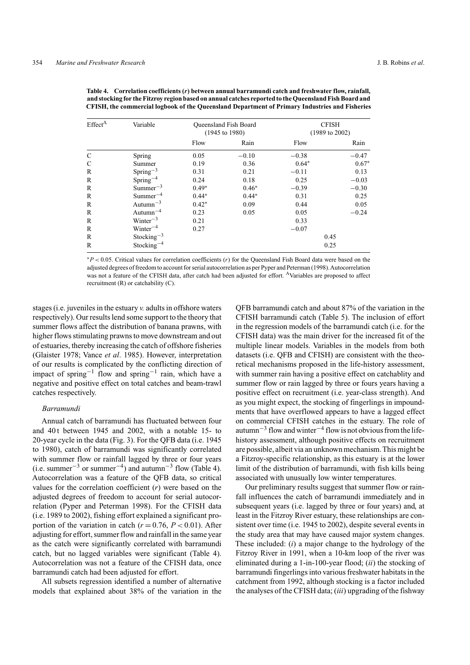| $Effect^A$    | Variable                            | <b>Oueensland Fish Board</b><br>$(1945 \text{ to } 1980)$ |         | <b>CFISH</b><br>(1989 to 2002) |         |
|---------------|-------------------------------------|-----------------------------------------------------------|---------|--------------------------------|---------|
|               |                                     | Flow                                                      | Rain    | Flow                           | Rain    |
| $\mathcal{C}$ | Spring                              | 0.05                                                      | $-0.10$ | $-0.38$                        | $-0.47$ |
| $\mathcal{C}$ | Summer                              | 0.19                                                      | 0.36    | $0.64*$                        | $0.67*$ |
| R             | Spring $^{-3}$                      | 0.31                                                      | 0.21    | $-0.11$                        | 0.13    |
| $\mathbb{R}$  | Spring <sup><math>-4</math></sup>   | 0.24                                                      | 0.18    | 0.25                           | $-0.03$ |
| R             | $Summer-3$                          | $0.49*$                                                   | $0.46*$ | $-0.39$                        | $-0.30$ |
| R             | $Summer-4$                          | $0.44*$                                                   | $0.44*$ | 0.31                           | 0.25    |
| R             | Autumn <sup><math>-3</math></sup>   | $0.42*$                                                   | 0.09    | 0.44                           | 0.05    |
| R             | Autumn <sup><math>-4</math></sup>   | 0.23                                                      | 0.05    | 0.05                           | $-0.24$ |
| $\mathbb{R}$  | $Winter^{-3}$                       | 0.21                                                      |         | 0.33                           |         |
| R             | $Winter^{-4}$                       | 0.27                                                      |         | $-0.07$                        |         |
| $\mathbb{R}$  | Stocking <sup><math>-3</math></sup> |                                                           |         |                                | 0.45    |
| R             | Stocking $^{-4}$                    |                                                           |         |                                | 0.25    |

**Table 4. Correlation coefficients (***r***) between annual barramundi catch and freshwater flow, rainfall, and stocking for the Fitzroy region based on annual catches reported to the Queensland Fish Board and CFISH, the commercial logbook of the Queensland Department of Primary Industries and Fisheries**

<sup>∗</sup>*P <* 0.05. Critical values for correlation coefficients (*r*) for the Queensland Fish Board data were based on the adjusted degrees of freedom to account for serial autocorrelation as per Pyper and Peterman (1998).Autocorrelation was not a feature of the CFISH data, after catch had been adjusted for effort. <sup>A</sup>Variables are proposed to affect recruitment (R) or catchability (C).

stages (i.e. juveniles in the estuary *v.* adults in offshore waters respectively). Our results lend some support to the theory that summer flows affect the distribution of banana prawns, with higher flows stimulating prawns to move downstream and out of estuaries, thereby increasing the catch of offshore fisheries (Glaister 1978; Vance *et al*. 1985). However, interpretation of our results is complicated by the conflicting direction of impact of spring<sup>-1</sup> flow and spring<sup>-1</sup> rain, which have a negative and positive effect on total catches and beam-trawl catches respectively.

## *Barramundi*

Annual catch of barramundi has fluctuated between four and 40 t between 1945 and 2002, with a notable 15- to 20-year cycle in the data (Fig. 3). For the QFB data (i.e. 1945 to 1980), catch of barramundi was significantly correlated with summer flow or rainfall lagged by three or four years (i.e. summer<sup>-3</sup> or summer<sup>-4</sup>) and autumn<sup>-3</sup> flow (Table 4). Autocorrelation was a feature of the QFB data, so critical values for the correlation coefficient (*r*) were based on the adjusted degrees of freedom to account for serial autocorrelation (Pyper and Peterman 1998). For the CFISH data (i.e. 1989 to 2002), fishing effort explained a significant proportion of the variation in catch  $(r = 0.76, P < 0.01)$ . After adjusting for effort, summer flow and rainfall in the same year as the catch were significantly correlated with barramundi catch, but no lagged variables were significant (Table 4). Autocorrelation was not a feature of the CFISH data, once barramundi catch had been adjusted for effort.

All subsets regression identified a number of alternative models that explained about 38% of the variation in the QFB barramundi catch and about 87% of the variation in the CFISH barramundi catch (Table 5). The inclusion of effort in the regression models of the barramundi catch (i.e. for the CFISH data) was the main driver for the increased fit of the multiple linear models. Variables in the models from both datasets (i.e. QFB and CFISH) are consistent with the theoretical mechanisms proposed in the life-history assessment, with summer rain having a positive effect on catchablity and summer flow or rain lagged by three or fours years having a positive effect on recruitment (i.e. year-class strength). And as you might expect, the stocking of fingerlings in impoundments that have overflowed appears to have a lagged effect on commercial CFISH catches in the estuary. The role of  $\mu$ autumn<sup>-3</sup> flow and winter<sup>-4</sup> flow is not obvious from the lifehistory assessment, although positive effects on recruitment are possible, albeit via an unknown mechanism.This might be a Fitzroy-specific relationship, as this estuary is at the lower limit of the distribution of barramundi, with fish kills being associated with unusually low winter temperatures.

Our preliminary results suggest that summer flow or rainfall influences the catch of barramundi immediately and in subsequent years (i.e. lagged by three or four years) and, at least in the Fitzroy River estuary, these relationships are consistent over time (i.e. 1945 to 2002), despite several events in the study area that may have caused major system changes. These included: (*i*) a major change to the hydrology of the Fitzroy River in 1991, when a 10-km loop of the river was eliminated during a 1-in-100-year flood; (*ii*) the stocking of barramundi fingerlings into various freshwater habitats in the catchment from 1992, although stocking is a factor included the analyses of the CFISH data; (*iii*) upgrading of the fishway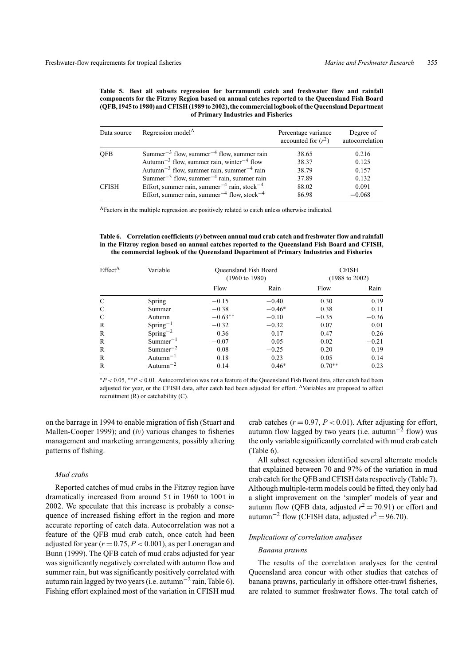**Table 5. Best all subsets regression for barramundi catch and freshwater flow and rainfall components for the Fitzroy Region based on annual catches reported to the Queensland Fish Board (QFB,1945 to 1980) and CFISH (1989 to 2002),the commercial logbook of the Queensland Department of Primary Industries and Fisheries**

| Data source  | Regression model <sup>A</sup>                                       | Percentage variance<br>accounted for $(r^2)$ | Degree of<br>autocorrelation |
|--------------|---------------------------------------------------------------------|----------------------------------------------|------------------------------|
| <b>OFB</b>   | $Summer^{-3}$ flow, summer <sup>-4</sup> flow, summer rain          | 38.65                                        | 0.216                        |
|              | Autumn <sup>-3</sup> flow, summer rain, winter <sup>-4</sup> flow   | 38.37                                        | 0.125                        |
|              | Autumn <sup>-3</sup> flow, summer rain, summer <sup>-4</sup> rain   | 38.79                                        | 0.157                        |
|              | Summer <sup>-3</sup> flow, summer <sup>-4</sup> rain, summer rain   | 37.89                                        | 0.132                        |
| <b>CFISH</b> | Effort, summer rain, summer <sup>-4</sup> rain, stock <sup>-4</sup> | 88.02                                        | 0.091                        |
|              | Effort, summer rain, summer <sup>-4</sup> flow, stock <sup>-4</sup> | 86.98                                        | $-0.068$                     |

AFactors in the multiple regression are positively related to catch unless otherwise indicated.

**Table 6. Correlation coefficients (***r***) between annual mud crab catch and freshwater flow and rainfall in the Fitzroy region based on annual catches reported to the Queensland Fish Board and CFISH, the commercial logbook of the Queensland Department of Primary Industries and Fisheries**

| Effect <sup>A</sup> | Variable                          | <b>Oueensland Fish Board</b><br>$(1960 \text{ to } 1980)$ |          | <b>CFISH</b><br>$(1988 \text{ to } 2002)$ |         |
|---------------------|-----------------------------------|-----------------------------------------------------------|----------|-------------------------------------------|---------|
|                     |                                   | Flow                                                      | Rain     | Flow                                      | Rain    |
| C                   | Spring                            | $-0.15$                                                   | $-0.40$  | 0.30                                      | 0.19    |
| C                   | Summer                            | $-0.38$                                                   | $-0.46*$ | 0.38                                      | 0.11    |
| C                   | Autumn                            | $-0.63**$                                                 | $-0.10$  | $-0.35$                                   | $-0.36$ |
| R                   | $Spring-1$                        | $-0.32$                                                   | $-0.32$  | 0.07                                      | 0.01    |
| R                   | Spring <sup><math>-2</math></sup> | 0.36                                                      | 0.17     | 0.47                                      | 0.26    |
| R                   | $Summer^{-1}$                     | $-0.07$                                                   | 0.05     | 0.02                                      | $-0.21$ |
| R                   | $Summer^{-2}$                     | 0.08                                                      | $-0.25$  | 0.20                                      | 0.19    |
| R                   | Autumn <sup><math>-1</math></sup> | 0.18                                                      | 0.23     | 0.05                                      | 0.14    |
| R                   | Autumn <sup><math>-2</math></sup> | 0.14                                                      | $0.46*$  | $0.70**$                                  | 0.23    |

<sup>∗</sup>*P <* 0.05, ∗∗*P <* 0.01. Autocorrelation was not a feature of the Queensland Fish Board data, after catch had been adjusted for year, or the CFISH data, after catch had been adjusted for effort. AVariables are proposed to affect recruitment (R) or catchability (C).

on the barrage in 1994 to enable migration of fish (Stuart and Mallen-Cooper 1999); and (*iv*) various changes to fisheries management and marketing arrangements, possibly altering patterns of fishing.

#### *Mud crabs*

Reported catches of mud crabs in the Fitzroy region have dramatically increased from around 5 t in 1960 to 100 t in 2002. We speculate that this increase is probably a consequence of increased fishing effort in the region and more accurate reporting of catch data. Autocorrelation was not a feature of the QFB mud crab catch, once catch had been adjusted for year  $(r = 0.75, P < 0.001)$ , as per Loneragan and Bunn (1999). The QFB catch of mud crabs adjusted for year was significantly negatively correlated with autumn flow and summer rain, but was significantly positively correlated with autumn rain lagged by two years (i.e. autumn<sup>-2</sup> rain, Table 6). Fishing effort explained most of the variation in CFISH mud crab catches  $(r = 0.97, P < 0.01)$ . After adjusting for effort, autumn flow lagged by two years (i.e. autumn<sup> $-\frac{2}{3}$ </sup> flow) was the only variable significantly correlated with mud crab catch (Table 6).

All subset regression identified several alternate models that explained between 70 and 97% of the variation in mud crab catch for the QFB and CFISH data respectively (Table 7). Although multiple-term models could be fitted, they only had a slight improvement on the 'simpler' models of year and autumn flow (QFB data, adjusted  $r^2 = 70.91$ ) or effort and autumn<sup>-2</sup> flow (CFISH data, adjusted  $r^2 = 96.70$ ).

## *Implications of correlation analyses*

# *Banana prawns*

The results of the correlation analyses for the central Queensland area concur with other studies that catches of banana prawns, particularly in offshore otter-trawl fisheries, are related to summer freshwater flows. The total catch of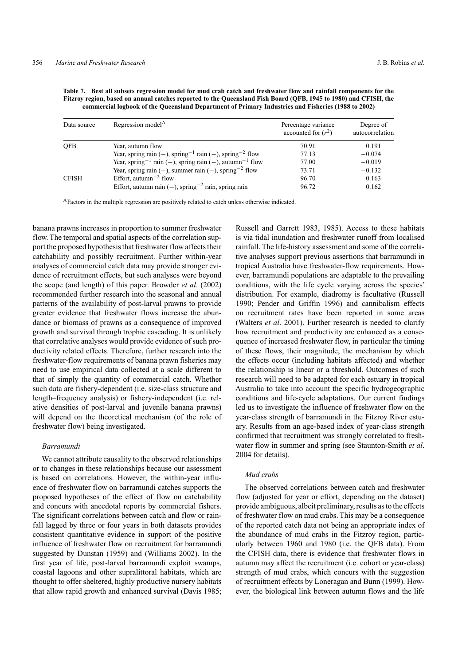| Data source  | Regression model <sup>A</sup>                                                   | Percentage variance<br>accounted for $(r^2)$ | Degree of<br>autocorrelation |
|--------------|---------------------------------------------------------------------------------|----------------------------------------------|------------------------------|
| <b>OFB</b>   | Year, autumn flow                                                               | 70.91                                        | 0.191                        |
|              | Year, spring rain (-), spring <sup>-1</sup> rain (-), spring <sup>-2</sup> flow | 77.13                                        | $-0.074$                     |
|              | Year, spring <sup>-1</sup> rain (-), spring rain (-), autumn <sup>-1</sup> flow | 77.00                                        | $-0.019$                     |
|              | Year, spring rain (-), summer rain (-), spring <sup>-2</sup> flow               | 73.71                                        | $-0.132$                     |
| <b>CFISH</b> | Effort, autumn <sup><math>-2</math></sup> flow                                  | 96.70                                        | 0.163                        |
|              | Effort, autumn rain $(-)$ , spring <sup>-2</sup> rain, spring rain              | 96.72                                        | 0.162                        |

**Table 7. Best all subsets regression model for mud crab catch and freshwater flow and rainfall components for the Fitzroy region, based on annual catches reported to the Queensland Fish Board (QFB, 1945 to 1980) and CFISH, the commercial logbook of the Queensland Department of Primary Industries and Fisheries (1988 to 2002)**

AFactors in the multiple regression are positively related to catch unless otherwise indicated.

banana prawns increases in proportion to summer freshwater flow. The temporal and spatial aspects of the correlation support the proposed hypothesis that freshwater flow affects their catchability and possibly recruitment. Further within-year analyses of commercial catch data may provide stronger evidence of recruitment effects, but such analyses were beyond the scope (and length) of this paper. Browder *et al*. (2002) recommended further research into the seasonal and annual patterns of the availability of post-larval prawns to provide greater evidence that freshwater flows increase the abundance or biomass of prawns as a consequence of improved growth and survival through trophic cascading. It is unlikely that correlative analyses would provide evidence of such productivity related effects. Therefore, further research into the freshwater-flow requirements of banana prawn fisheries may need to use empirical data collected at a scale different to that of simply the quantity of commercial catch. Whether such data are fishery-dependent (i.e. size-class structure and length–frequency analysis) or fishery-independent (i.e. relative densities of post-larval and juvenile banana prawns) will depend on the theoretical mechanism (of the role of freshwater flow) being investigated.

#### *Barramundi*

We cannot attribute causality to the observed relationships or to changes in these relationships because our assessment is based on correlations. However, the within-year influence of freshwater flow on barramundi catches supports the proposed hypotheses of the effect of flow on catchability and concurs with anecdotal reports by commercial fishers. The significant correlations between catch and flow or rainfall lagged by three or four years in both datasets provides consistent quantitative evidence in support of the positive influence of freshwater flow on recruitment for barramundi suggested by Dunstan (1959) and (Williams 2002). In the first year of life, post-larval barramundi exploit swamps, coastal lagoons and other supralittoral habitats, which are thought to offer sheltered, highly productive nursery habitats that allow rapid growth and enhanced survival (Davis 1985; Russell and Garrett 1983, 1985). Access to these habitats is via tidal inundation and freshwater runoff from localised rainfall. The life-history assessment and some of the correlative analyses support previous assertions that barramundi in tropical Australia have freshwater-flow requirements. However, barramundi populations are adaptable to the prevailing conditions, with the life cycle varying across the species' distribution. For example, diadromy is facultative (Russell 1990; Pender and Griffin 1996) and cannibalism effects on recruitment rates have been reported in some areas (Walters *et al*. 2001). Further research is needed to clarify how recruitment and productivity are enhanced as a consequence of increased freshwater flow, in particular the timing of these flows, their magnitude, the mechanism by which the effects occur (including habitats affected) and whether the relationship is linear or a threshold. Outcomes of such research will need to be adapted for each estuary in tropical Australia to take into account the specific hydrogeographic conditions and life-cycle adaptations. Our current findings led us to investigate the influence of freshwater flow on the year-class strength of barramundi in the Fitzroy River estuary. Results from an age-based index of year-class strength confirmed that recruitment was strongly correlated to freshwater flow in summer and spring (see Staunton-Smith *et al*. 2004 for details).

## *Mud crabs*

The observed correlations between catch and freshwater flow (adjusted for year or effort, depending on the dataset) provide ambiguous, albeit preliminary, results as to the effects of freshwater flow on mud crabs. This may be a consequence of the reported catch data not being an appropriate index of the abundance of mud crabs in the Fitzroy region, particularly between 1960 and 1980 (i.e. the QFB data). From the CFISH data, there is evidence that freshwater flows in autumn may affect the recruitment (i.e. cohort or year-class) strength of mud crabs, which concurs with the suggestion of recruitment effects by Loneragan and Bunn (1999). However, the biological link between autumn flows and the life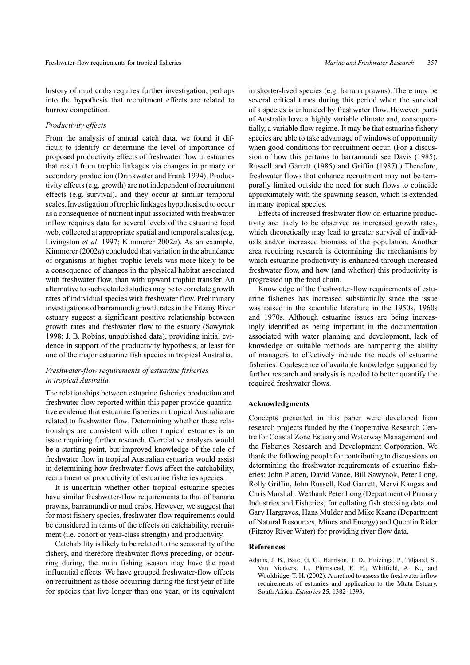history of mud crabs requires further investigation, perhaps into the hypothesis that recruitment effects are related to burrow competition.

# *Productivity effects*

From the analysis of annual catch data, we found it difficult to identify or determine the level of importance of proposed productivity effects of freshwater flow in estuaries that result from trophic linkages via changes in primary or secondary production (Drinkwater and Frank 1994). Productivity effects (e.g. growth) are not independent of recruitment effects (e.g. survival), and they occur at similar temporal scales. Investigation of trophic linkages hypothesised to occur as a consequence of nutrient input associated with freshwater inflow requires data for several levels of the estuarine food web, collected at appropriate spatial and temporal scales (e.g. Livingston *et al*. 1997; Kimmerer 2002*a*). As an example, Kimmerer (2002*a*) concluded that variation in the abundance of organisms at higher trophic levels was more likely to be a consequence of changes in the physical habitat associated with freshwater flow, than with upward trophic transfer. An alternative to such detailed studies may be to correlate growth rates of individual species with freshwater flow. Preliminary investigations of barramundi growth rates in the Fitzroy River estuary suggest a significant positive relationship between growth rates and freshwater flow to the estuary (Sawynok 1998; J. B. Robins, unpublished data), providing initial evidence in support of the productivity hypothesis, at least for one of the major estuarine fish species in tropical Australia.

# *Freshwater-flow requirements of estuarine fisheries in tropical Australia*

The relationships between estuarine fisheries production and freshwater flow reported within this paper provide quantitative evidence that estuarine fisheries in tropical Australia are related to freshwater flow. Determining whether these relationships are consistent with other tropical estuaries is an issue requiring further research. Correlative analyses would be a starting point, but improved knowledge of the role of freshwater flow in tropical Australian estuaries would assist in determining how freshwater flows affect the catchability, recruitment or productivity of estuarine fisheries species.

It is uncertain whether other tropical estuarine species have similar freshwater-flow requirements to that of banana prawns, barramundi or mud crabs. However, we suggest that for most fishery species, freshwater-flow requirements could be considered in terms of the effects on catchability, recruitment (i.e. cohort or year-class strength) and productivity.

Catchability is likely to be related to the seasonality of the fishery, and therefore freshwater flows preceding, or occurring during, the main fishing season may have the most influential effects. We have grouped freshwater-flow effects on recruitment as those occurring during the first year of life for species that live longer than one year, or its equivalent in shorter-lived species (e.g. banana prawns). There may be several critical times during this period when the survival of a species is enhanced by freshwater flow. However, parts of Australia have a highly variable climate and, consequentially, a variable flow regime. It may be that estuarine fishery species are able to take advantage of windows of opportunity when good conditions for recruitment occur. (For a discussion of how this pertains to barramundi see Davis (1985), Russell and Garrett (1985) and Griffin (1987).) Therefore, freshwater flows that enhance recruitment may not be temporally limited outside the need for such flows to coincide approximately with the spawning season, which is extended in many tropical species.

Effects of increased freshwater flow on estuarine productivity are likely to be observed as increased growth rates, which theoretically may lead to greater survival of individuals and/or increased biomass of the population. Another area requiring research is determining the mechanisms by which estuarine productivity is enhanced through increased freshwater flow, and how (and whether) this productivity is progressed up the food chain.

Knowledge of the freshwater-flow requirements of estuarine fisheries has increased substantially since the issue was raised in the scientific literature in the 1950s, 1960s and 1970s. Although estuarine issues are being increasingly identified as being important in the documentation associated with water planning and development, lack of knowledge or suitable methods are hampering the ability of managers to effectively include the needs of estuarine fisheries. Coalescence of available knowledge supported by further research and analysis is needed to better quantify the required freshwater flows.

#### **Acknowledgments**

Concepts presented in this paper were developed from research projects funded by the Cooperative Research Centre for Coastal Zone Estuary and Waterway Management and the Fisheries Research and Development Corporation. We thank the following people for contributing to discussions on determining the freshwater requirements of estuarine fisheries: John Platten, David Vance, Bill Sawynok, Peter Long, Rolly Griffin, John Russell, Rod Garrett, Mervi Kangas and Chris Marshall. We thank Peter Long (Department of Primary Industries and Fisheries) for collating fish stocking data and Gary Hargraves, Hans Mulder and Mike Keane (Department of Natural Resources, Mines and Energy) and Quentin Rider (Fitzroy River Water) for providing river flow data.

#### **References**

Adams, J. B., Bate, G. C., Harrison, T. D., Huizinga, P., Taljaard, S., Van Nierkerk, L., Plumstead, E. E., Whitfield, A. K., and Wooldridge, T. H. (2002). A method to assess the freshwater inflow requirements of estuaries and application to the Mtata Estuary, South Africa. *Estuaries* **25**, 1382–1393.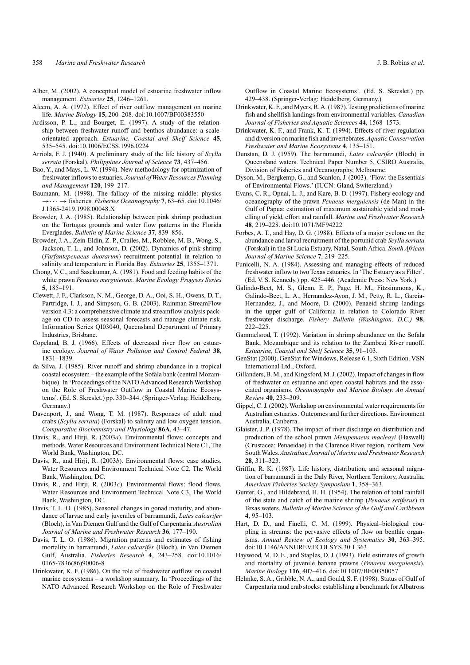#### 358 *Marine and Freshwater Research* J. B. Robins *et al*.

- Alber, M. (2002). A conceptual model of estuarine freshwater inflow management. *Estuaries* **25**, 1246–1261.
- Aleem, A. A. (1972). Effect of river outflow management on marine life. *Marine Biology* **15**, 200–208. doi:10.1007/BF00383550
- Ardisson, P. L., and Bourget, E. (1997). A study of the relationship between freshwater runoff and benthos abundance: a scaleorientated approach. *Estuarine, Coastal and Shelf Science* **45**, 535–545. doi:10.1006/ECSS.1996.0224
- Arriola, F. J. (1940). A preliminary study of the life history of *Scylla serrata* (Forskal). *Philippines Journal of Science* **73**, 437–456.
- Bao, Y., and Mays, L. W. (1994). New methodology for optimization of freshwater inflows to estuaries. *Journal ofWater Resources Planning and Management* **120**, 199–217.
- Baumann, M. (1998). The fallacy of the missing middle: physics →· · · → fisheries. *Fisheries Oceanography* **7**, 63–65. doi:10.1046/ J.1365-2419.1998.00048.X
- Browder, J. A. (1985). Relationship between pink shrimp production on the Tortugas grounds and water flow patterns in the Florida Everglades. *Bulletin of Marine Science* **37**, 839–856.
- Browder, J. A., Zein-Eldin, Z. P., Crailes, M., Robblee, M. B., Wong, S., Jackson, T. L., and Johnson, D. (2002). Dynamics of pink shrimp (*Farfantepenaeus duorarum*) recruitment potential in relation to salinity and temperature in Florida Bay. *Estuaries* **25**, 1355–1371.
- Chong, V. C., and Sasekumar, A. (1981). Food and feeding habits of the white prawn *Penaeus merguiensis*. *Marine Ecology Progress Series* **5**, 185–191.
- Clewett, J. F., Clarkson, N. M., George, D. A., Ooi, S. H., Owens, D. T., Partridge, I. J., and Simpson, G. B. (2003). Rainman StreamFlow version 4.3: a comprehensive climate and streamflow analysis package on CD to assess seasonal forecasts and manage climate risk. Information Series QI03040, Queensland Department of Primary Industries, Brisbane.
- Copeland, B. J. (1966). Effects of decreased river flow on estuarine ecology. *Journal of Water Pollution and Control Federal* **38**, 1831–1839.
- da Silva, J. (1985). River runoff and shrimp abundance in a tropical coastal ecosystem – the example of the Sofala bank (central Mozambique). In 'Proceedings of the NATO Advanced Research Workshop on the Role of Freshwater Outflow in Coastal Marine Ecosystems'. (Ed. S. Skreslet.) pp. 330–344. (Springer-Verlag: Heidelberg, Germany.)
- Davenport, J., and Wong, T. M. (1987). Responses of adult mud crabs (*Scylla serrata*) (Forskal) to salinity and low oxygen tension. *Comparative Biochemistry and Physiology* **86A**, 43–47.
- Davis, R., and Hirji, R. (2003*a*). Environmental flows: concepts and methods. Water Resources and Environment Technical Note C1, The World Bank, Washington, DC.
- Davis, R., and Hirji, R. (2003*b*). Environmental flows: case studies. Water Resources and Environment Technical Note C2, The World Bank, Washington, DC.
- Davis, R., and Hirji, R. (2003*c*). Environmental flows: flood flows. Water Resources and Environment Technical Note C3, The World Bank, Washington, DC.
- Davis, T. L. O. (1985). Seasonal changes in gonad maturity, and abundance of larvae and early juveniles of barramundi, *Lates calcarifer* (Bloch), in Van Diemen Gulf and the Gulf of Carpentaria.*Australian Journal of Marine and Freshwater Research* **36**, 177–190.
- Davis, T. L. O. (1986). Migration patterns and estimates of fishing mortality in barramundi, *Lates calcarifer* (Bloch), in Van Diemen Gulf, Australia. *Fisheries Research* **4**, 243–258. doi:10.1016/ 0165-7836(86)90006-8
- Drinkwater, K. F. (1986). On the role of freshwater outflow on coastal marine ecosystems – a workshop summary. In 'Proceedings of the NATO Advanced Research Workshop on the Role of Freshwater

Outflow in Coastal Marine Ecosystems'. (Ed. S. Skreslet.) pp. 429–438. (Springer-Verlag: Heidelberg, Germany.)

- Drinkwater, K. F., and Myers, R.A. (1987).Testing predictions of marine fish and shellfish landings from environmental variables. *Canadian Journal of Fisheries and Aquatic Sciences* **44**, 1568–1573.
- Drinkwater, K. F., and Frank, K. T. (1994). Effects of river regulation and diversion on marine fish and invertebrates.*Aquatic Conservation Freshwater and Marine Ecosystems* **4**, 135–151.
- Dunstan, D. J. (1959). The barramundi, *Lates calcarifer* (Bloch) in Queensland waters. Technical Paper Number 5, CSIRO Australia, Division of Fisheries and Oceanography, Melbourne.
- Dyson, M., Bergkemp, G., and Scanlon, J. (2003). 'Flow: the Essentials of Environmental Flows.' (IUCN: Gland, Switerzland.)
- Evans, C. R., Opnai, L. J., and Kare, B. D. (1997). Fishery ecology and oceanography of the prawn *Penaeus merguiensis* (de Man) in the Gulf of Papua: estimation of maximum sustainable yield and modelling of yield, effort and rainfall. *Marine and Freshwater Research* **48**, 219–228. doi:10.1071/MF94222
- Forbes, A. T., and Hay, D. G. (1988). Effects of a major cyclone on the abundance and larval recruitment of the portunid crab *Scylla serrata* (Forskal) in the St Lucia Estuary, Natal, South Africa. *South African Journal of Marine Science* **7**, 219–225.
- Funicelli, N. A. (1984). Assessing and managing effects of reduced freshwater inflow to two Texas estuaries. In 'The Estuary as a Filter'. (Ed. V. S. Kennedy.) pp. 425–446. (Academic Press: New York.)
- Galindo-Bect, M. S., Glenn, E. P., Page, H. M., Fitzsimmons, K., Galindo-Bect, L. A., Hernandez-Ayon, J. M., Petty, R. L., Garcia-Hernandez, J., and Moore, D. (2000). Penaeid shrimp landings in the upper gulf of California in relation to Colorado River freshwater discharge. *Fishery Bulletin (Washington, D.C.)* **98**, 222–225.
- Gammelsrod, T. (1992). Variation in shrimp abundance on the Sofala Bank, Mozambique and its relation to the Zambezi River runoff. *Estuarine, Coastal and Shelf Science* **35**, 91–103.
- GenStat (2000). GenStat for Windows, Release 6.1, Sixth Edition. VSN International Ltd., Oxford.
- Gillanders, B. M., and Kingsford, M. J. (2002). Impact of changes in flow of freshwater on estuarine and open coastal habitats and the associated organisms. *Oceanography and Marine Biology. An Annual Review* **40**, 233–309.
- Gippel, C. J. (2002). Workshop on environmental water requirements for Australian estuaries. Outcomes and further directions. Environment Australia, Canberra.
- Glaister, J. P. (1978). The impact of river discharge on distribution and production of the school prawn *Metapenaeus macleayi* (Haswell) (Crustacea: Penaeidae) in the Clarence River region, northern New South Wales.*Australian Journal of Marine and Freshwater Research* **28**, 311–323.
- Griffin, R. K. (1987). Life history, distribution, and seasonal migration of barramundi in the Daly River, Northern Territory, Australia. *American Fisheries Society Symposium* **1**, 358–363.
- Gunter, G., and Hildebrand, H. H. (1954). The relation of total rainfall of the state and catch of the marine shrimp (*Penaeus setiferus*) in Texas waters. *Bulletin of Marine Science of the Gulf and Caribbean* **4**, 95–103.
- Hart, D. D., and Finelli, C. M. (1999). Physical–biological coupling in streams: the pervasive effects of flow on benthic organisms. *Annual Review of Ecology and Systematics* **30**, 363–395. doi:10.1146/ANNUREV.ECOLSYS.30.1.363
- Haywood, M. D. E., and Staples, D. J. (1993). Field estimates of growth and mortality of juvenile banana prawns (*Penaeus merguiensis*). *Marine Biology* **116**, 407–416. doi:10.1007/BF00350057
- Helmke, S. A., Gribble, N. A., and Gould, S. F. (1998). Status of Gulf of Carpentaria mud crab stocks: establishing a benchmark forAlbatross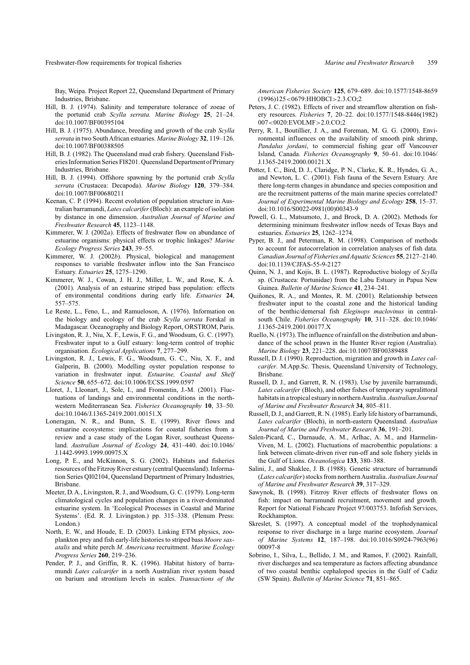Freshwater-flow requirements for tropical fisheries *Marine and Freshwater Research* 359

Bay, Weipa. Project Report 22, Queensland Department of Primary Industries, Brisbane.

- Hill, B. J. (1974). Salinity and temperature tolerance of zoeae of the portunid crab *Scylla serrata. Marine Biology* **25**, 21–24. doi:10.1007/BF00395104
- Hill, B. J. (1975). Abundance, breeding and growth of the crab *Scylla serrata* in two SouthAfrican estuaries. *Marine Biology* **32**, 119–126. doi:10.1007/BF00388505
- Hill, B. J. (1982). The Queensland mud crab fishery. Queensland Fisheries Information Series FI8201. Queensland Department of Primary Industries, Brisbane.
- Hill, B. J. (1994). Offshore spawning by the portunid crab *Scylla serrata* (Crustacea: Decapoda). *Marine Biology* **120**, 379–384. doi:10.1007/BF00680211
- Keenan, C. P. (1994). Recent evolution of population structure in Australian barramundi, *Lates calcarifer* (Bloch): an example of isolation by distance in one dimension. *Australian Journal of Marine and Freshwater Research* **45**, 1123–1148.
- Kimmerer, W. J. (2002*a*). Effects of freshwater flow on abundance of estuarine organisms: physical effects or trophic linkages? *Marine Ecology Progress Series* **243**, 39–55.
- Kimmerer, W. J. (2002*b*). Physical, biological and management responses to variable freshwater inflow into the San Francisco Estuary. *Estuaries* **25**, 1275–1290.
- Kimmerer, W. J., Cowan, J. H. J., Miller, L. W., and Rose, K. A. (2001). Analysis of an estuarine striped bass population: effects of environmental conditions during early life. *Estuaries* **24**, 557–575.
- Le Reste, L., Feno, L., and Ramueloson, A. (1976). Information on the biology and ecology of the crab *Scylla serrata* Forskal in Madagascar. Oceanography and Biology Report, ORSTROM, Paris.
- Livingston, R. J., Niu, X. F., Lewis, F. G., and Woodsum, G. C. (1997). Freshwater input to a Gulf estuary: long-term control of trophic organisation. *Ecological Applications* **7**, 277–299.
- Livingston, R. J., Lewis, F. G., Woodsum, G. C., Niu, X. F., and Galperin, B. (2000). Modelling oyster population response to variation in freshwater input. *Estuarine, Coastal and Shelf Science* **50**, 655–672. doi:10.1006/ECSS.1999.0597
- Lloret, J., Lleonart, J., Sole, I., and Fromentin, J.-M. (2001). Fluctuations of landings and environmental conditions in the northwestern Mediterranean Sea. *Fisheries Oceanography* **10**, 33–50. doi:10.1046/J.1365-2419.2001.00151.X
- Loneragan, N. R., and Bunn, S. E. (1999). River flows and estuarine ecosystems: implications for coastal fisheries from a review and a case study of the Logan River, southeast Queensland. *Australian Journal of Ecology* **24**, 431–440. doi:10.1046/ J.1442-9993.1999.00975.X
- Long, P. E., and McKinnon, S. G. (2002). Habitats and fisheries resources of the Fitzroy River estuary (central Queensland). Information Series QI02104, Queensland Department of Primary Industries, Brisbane.
- Meeter, D. A., Livingston, R. J., and Woodsum, G. C. (1979). Long-term climatological cycles and population changes in a river-dominated estuarine system. In 'Ecological Processes in Coastal and Marine Systems'. (Ed. R. J. Livingston.) pp. 315–338. (Plenum Press: London.)
- North, E. W., and Houde, E. D. (2003). Linking ETM physics, zooplankton prey and fish early-life histories to striped bass *Moore saxatalis* and white perch *M. Americana* recruitment. *Marine Ecology Progress Series* **260**, 219–236.
- Pender, P. J., and Griffin, R. K. (1996). Habitat history of barramundi *Lates calcarifer* in a north Australian river system based on barium and strontium levels in scales. *Transactions of the*

*American Fisheries Society* **125**, 679–689. doi:10.1577/1548-8659 (1996)125*<*0679:HHOBCI*>*2.3.CO;2

- Peters, J. C. (1982). Effects of river and streamflow alteration on fishery resources. *Fisheries* **7**, 20–22. doi:10.1577/1548-8446(1982) 007*<*0020:EVOLMF*>*2.0.CO;2
- Perry, R. I., Boutillier, J. A., and Foreman, M. G. G. (2000). Environmental influences on the availability of smooth pink shrimp, *Pandalus jordani*, to commercial fishing gear off Vancouver Island, Canada. *Fisheries Oceanography* **9**, 50–61. doi:10.1046/ J.1365-2419.2000.00121.X
- Potter, I. C., Bird, D. J., Claridge, P. N., Clarke, K. R., Hyndes, G. A., and Newton, L. C. (2001). Fish fauna of the Severn Estuary. Are there long-term changes in abundance and species composition and are the recruitment patterns of the main marine species correlated? *Journal of Experimental Marine Biology and Ecology* **258**, 15–37. doi:10.1016/S0022-0981(00)00343-9
- Powell, G. L., Matsumoto, J., and Brock, D. A. (2002). Methods for determining minimum freshwater inflow needs of Texas Bays and estuaries. *Estuaries* **25**, 1262–1274.
- Pyper, B. J., and Peterman, R. M. (1998). Comparison of methods to account for autocorrelation in correlation analyses of fish data. *Canadian Journal of Fisheries andAquatic Sciences* **55**, 2127–2140. doi:10.1139/CJFAS-55-9-2127
- Quinn, N. J., and Kojis, B. L. (1987). Reproductive biology of *Scylla* sp. (Crustacea: Portunidae) from the Labu Estuary in Papua New Guinea. *Bulletin of Marine Science* **41**, 234–241.
- Quiñones, R. A., and Montes, R. M. (2001). Relationship between freshwater input to the coastal zone and the historical landing of the benthic/demersal fish *Eleginops maclovinus* in centralsouth Chile. *Fisheries Oceanography* **10**, 311–328. doi:10.1046/ J.1365-2419.2001.00177.X
- Ruello, N. (1973). The influence of rainfall on the distribution and abundance of the school prawn in the Hunter River region (Australia). *Marine Biology* **23**, 221–228. doi:10.1007/BF00389488
- Russell, D. J. (1990). Reproduction, migration and growth in *Lates calcarifer*. M.App.Sc. Thesis, Queensland University of Technology, Brisbane.
- Russell, D. J., and Garrett, R. N. (1983). Use by juvenile barramundi, *Lates calcarifer* (Bloch), and other fishes of temporary supralittoral habitats in a tropical estuary in northernAustralia.*Australian Journal of Marine and Freshwater Research* **34**, 805–811.
- Russell, D. J., and Garrett, R. N. (1985). Early life history of barramundi, *Lates calcarifer* (Bloch), in north-eastern Queensland. *Australian Journal of Marine and Freshwater Research* **36**, 191–201.
- Salen-Picard, C., Darnaude, A. M., Arlhac, A. M., and Harmelin-Viven, M. L. (2002). Fluctuations of macrobenthic populations: a link between climate-driven river run-off and sole fishery yields in the Gulf of Lions. *Oceanologica* **133**, 380–388.
- Salini, J., and Shaklee, J. B. (1988). Genetic structure of barramundi (*Lates calcarifer*) stocks from northernAustralia.*Australian Journal of Marine and Freshwater Research* **39**, 317–329.
- Sawynok, B. (1998). Fitzroy River effects of freshwater flows on fish: impact on barramundi recruitment, movement and growth. Report for National Fishcare Project 97/003753. Infofish Services, Rockhampton.
- Skreslet, S. (1997). A conceptual model of the trophodynamical response to river discharge in a large marine ecosystem. *Journal of Marine Systems* **12**, 187–198. doi:10.1016/S0924-7963(96) 00097-8
- Sobrino, I., Silva, L., Bellido, J. M., and Ramos, F. (2002). Rainfall, river discharges and sea temperature as factors affecting abundance of two coastal benthic cephalopod species in the Gulf of Cadiz (SW Spain). *Bulletin of Marine Science* **71**, 851–865.